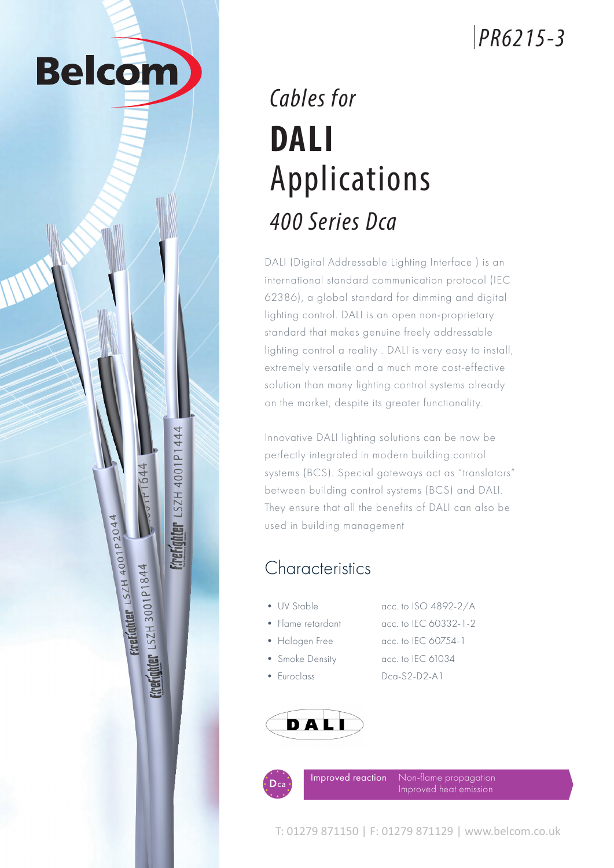# *PR6215-3*

# *Cables for* **DALI** Applications *400 Series Dca*

**Belcom** 

**ALGLIQUIGL FRANCIST 400161444** 

**EXPETAINER LSZH 4001P2044** 

**ELELQUELE 125H 3001b1844**<br>ELELQUELE 125H 3001b1844

DALI (Digital Addressable Lighting Interface ) is an international standard communication protocol (IEC 62386), a global standard for dimming and digital lighting control. DALI is an open non-proprietary standard that makes genuine freely addressable lighting control a reality . DALI is very easy to install, extremely versatile and a much more cost-effective solution than many lighting control systems already on the market, despite its greater functionality.

Innovative DALI lighting solutions can be now be perfectly integrated in modern building control systems (BCS). Special gateways act as "translators" between building control systems (BCS) and DALI. They ensure that all the benefits of DALI can also be used in building management

#### **Characteristics**

- UV Stable acc. to ISO 4892-2/A • Flame retardant acc. to IEC 60332-1-2
- 

• Halogen Free acc. to IEC 60754-1 • Smoke Density acc. to IEC 61034 • Euroclass Dca-S2-D2-A1

DALI



Non-flame propagation Improved reaction